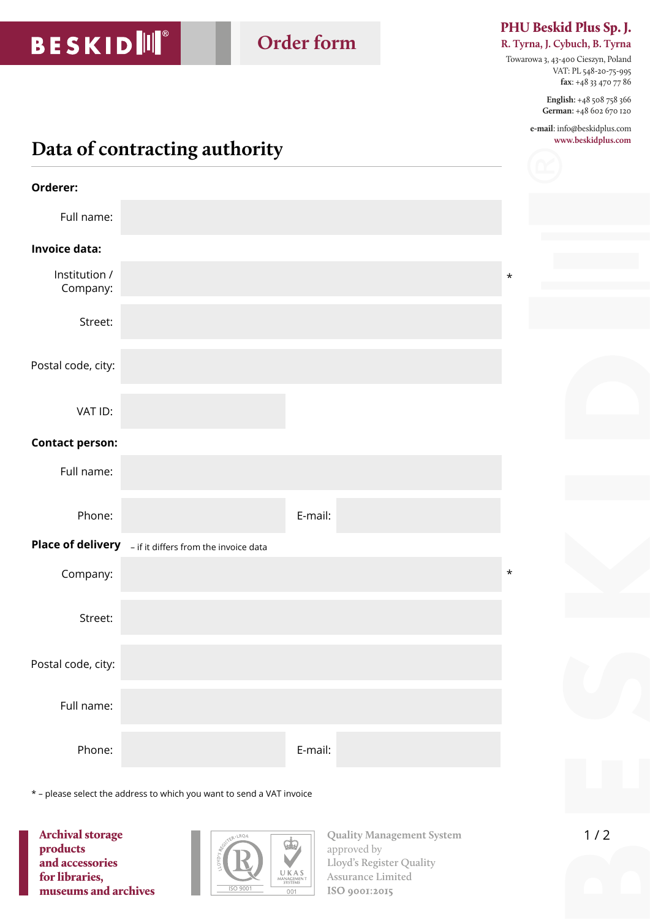# **BESKIDI**II®

## **Order form**

#### PHU Beskid Plus Sp. J.

**R. Tyrna, J. Cybuch, B. Tyrna**

Towarowa 3, 43-400 Cieszyn, Poland VAT: PL 548-20-75-995 **fax**: +48 33 470 77 86

> **English:** +48 508 758 366 **German:** +48 602 670 120

**e-mail**: info@beskidplus.com **www.beskidplus.com**

### **Data of contracting authority**

| Orderer:                  |                                                         |         |         |
|---------------------------|---------------------------------------------------------|---------|---------|
| Full name:                |                                                         |         |         |
| <b>Invoice data:</b>      |                                                         |         |         |
| Institution /<br>Company: |                                                         |         | $\star$ |
| Street:                   |                                                         |         |         |
| Postal code, city:        |                                                         |         |         |
| VAT ID:                   |                                                         |         |         |
| <b>Contact person:</b>    |                                                         |         |         |
| Full name:                |                                                         |         |         |
| Phone:                    |                                                         | E-mail: |         |
|                           | Place of delivery - if it differs from the invoice data |         |         |
| Company:                  |                                                         |         | $\star$ |
| Street:                   |                                                         |         |         |
| Postal code, city:        |                                                         |         |         |
| Full name:                |                                                         |         |         |
| Phone:                    |                                                         | E-mail: |         |

\* – please select the address to which you want to send a VAT invoice

Archival storage products and accessories for libraries, museums and archives



**Quality Management System** approved by **Lloyd's Register Quality Assurance Limited**  ISO 9001:2015

 $1/2$